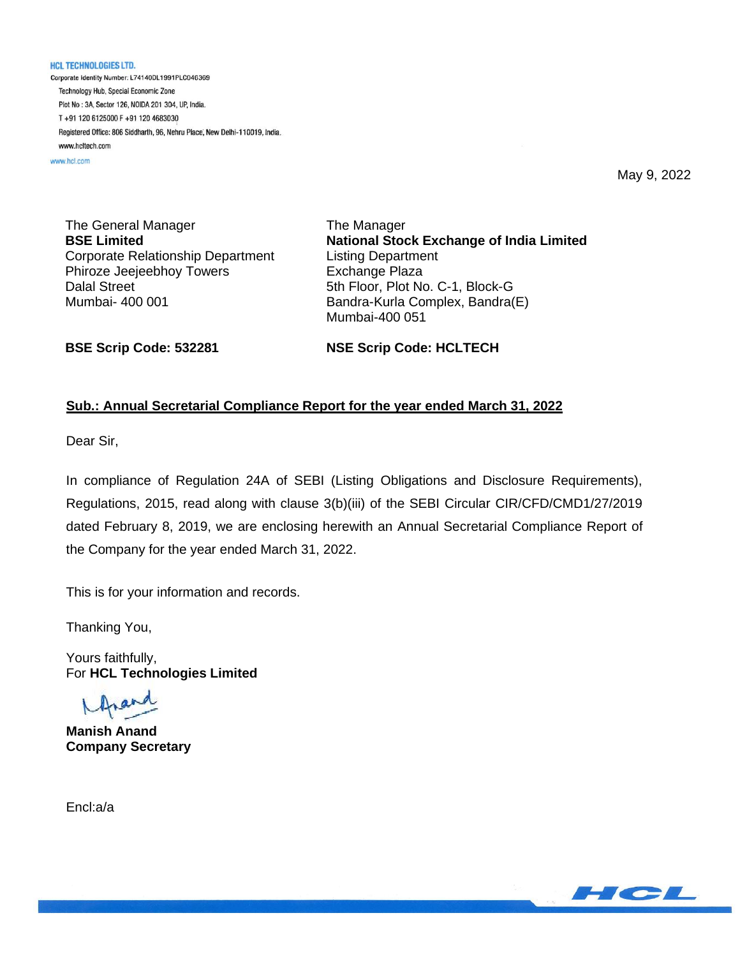**HCL TECHNOLOGIES LTD.** Corporate Identity Number: L74140DL1991PLC046369 Technology Hub, Special Economic Zone Plot No: 3A, Sector 126, NOIDA 201 304, UP, India. T+91 120 6125000 F+91 120 4683030 Registered Office: 806 Siddharth, 96, Nehru Place, New Delhi-110019, India. www.hcltech.com

www.hcl.com

May 9, 2022

The General Manager **BSE Limited** Corporate Relationship Department Phiroze Jeejeebhoy Towers Dalal Street Mumbai- 400 001

The Manager **National Stock Exchange of India Limited** Listing Department Exchange Plaza 5th Floor, Plot No. C-1, Block-G Bandra-Kurla Complex, Bandra(E) Mumbai-400 051

**BSE Scrip Code: 532281**

**NSE Scrip Code: HCLTECH**

### **Sub.: Annual Secretarial Compliance Report for the year ended March 31, 2022**

Dear Sir,

In compliance of Regulation 24A of SEBI (Listing Obligations and Disclosure Requirements), Regulations, 2015, read along with clause 3(b)(iii) of the SEBI Circular CIR/CFD/CMD1/27/2019 dated February 8, 2019, we are enclosing herewith an Annual Secretarial Compliance Report of the Company for the year ended March 31, 2022.

This is for your information and records.

Thanking You,

Yours faithfully, For **HCL Technologies Limited**

**Manish Anand Company Secretary** 

Encl:a/a

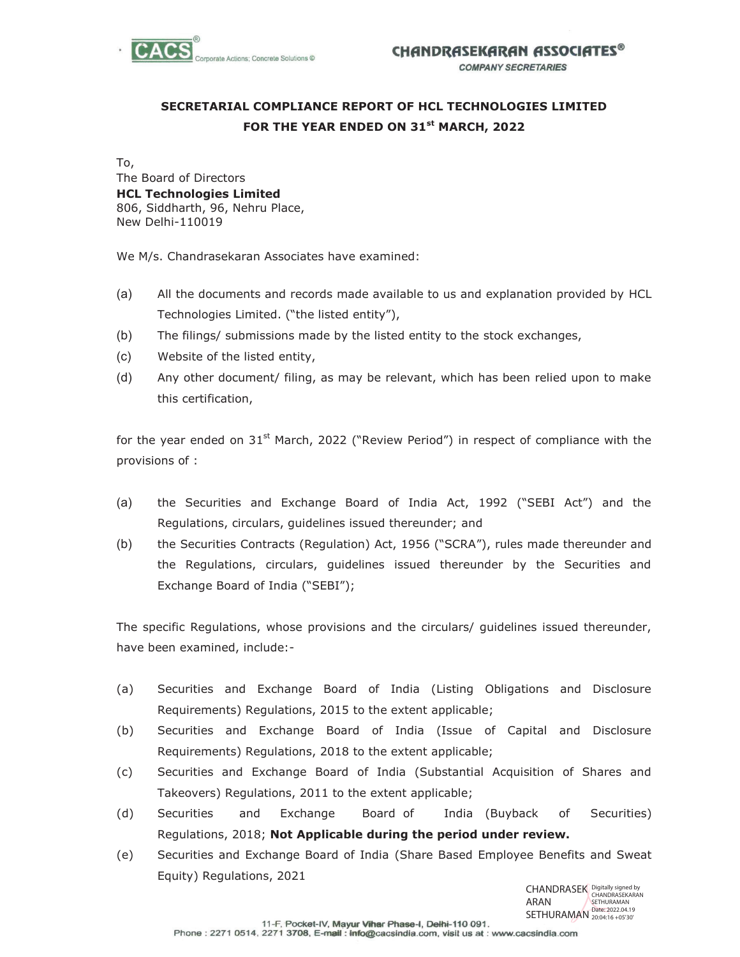

## **SECRETARIAL COMPLIANCE REPORT OF HCL TECHNOLOGIES LIMITED FOR THE YEAR ENDED ON 31st MARCH, 2022**

To, The Board of Directors **HCL Technologies Limited**  806, Siddharth, 96, Nehru Place, New Delhi-110019

We M/s. Chandrasekaran Associates have examined:

- (a) All the documents and records made available to us and explanation provided by HCL Technologies Limited. ("the listed entity"),
- (b) The filings/ submissions made by the listed entity to the stock exchanges,
- (c) Website of the listed entity,
- (d) Any other document/ filing, as may be relevant, which has been relied upon to make this certification,

for the year ended on  $31^{st}$  March, 2022 ("Review Period") in respect of compliance with the provisions of :

- (a) the Securities and Exchange Board of India Act, 1992 ("SEBI Act") and the Regulations, circulars, guidelines issued thereunder; and
- (b) the Securities Contracts (Regulation) Act, 1956 ("SCRA"), rules made thereunder and the Regulations, circulars, guidelines issued thereunder by the Securities and Exchange Board of India ("SEBI");

The specific Regulations, whose provisions and the circulars/ guidelines issued thereunder, have been examined, include:-

- (a) Securities and Exchange Board of India (Listing Obligations and Disclosure Requirements) Regulations, 2015 to the extent applicable;
- (b) Securities and Exchange Board of India (Issue of Capital and Disclosure Requirements) Regulations, 2018 to the extent applicable;
- (c) Securities and Exchange Board of India (Substantial Acquisition of Shares and Takeovers) Regulations, 2011 to the extent applicable;
- (d) Securities and Exchange Board of India (Buyback of Securities) Regulations, 2018; **Not Applicable during the period under review.**
- (e) Securities and Exchange Board of India (Share Based Employee Benefits and Sweat Equity) Regulations, 2021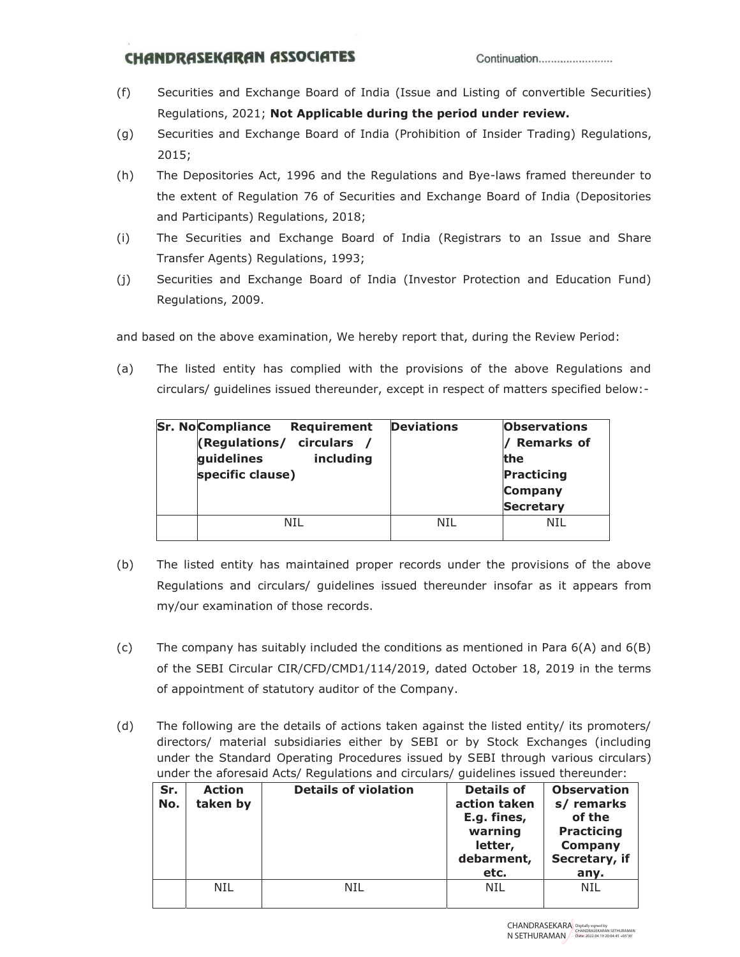## **CHANDRASEKARAN ASSOCIATES**

- (f) Securities and Exchange Board of India (Issue and Listing of convertible Securities) Regulations, 2021; **Not Applicable during the period under review.**
- (g) Securities and Exchange Board of India (Prohibition of Insider Trading) Regulations, 2015;
- (h) The Depositories Act, 1996 and the Regulations and Bye-laws framed thereunder to the extent of Regulation 76 of Securities and Exchange Board of India (Depositories and Participants) Regulations, 2018;
- (i) The Securities and Exchange Board of India (Registrars to an Issue and Share Transfer Agents) Regulations, 1993;
- (j) Securities and Exchange Board of India (Investor Protection and Education Fund) Regulations, 2009.

and based on the above examination, We hereby report that, during the Review Period:

(a) The listed entity has complied with the provisions of the above Regulations and circulars/ guidelines issued thereunder, except in respect of matters specified below:-

| <b>Sr. No Compliance</b><br><b>Requirement</b><br>(Regulations/ circulars /<br>guidelines<br>including<br>specific clause) | <b>Deviations</b> | <b>Observations</b><br><b>Remarks of</b><br>the<br>Practicing<br><b>Company</b><br><b>Secretary</b> |
|----------------------------------------------------------------------------------------------------------------------------|-------------------|-----------------------------------------------------------------------------------------------------|
| NTI                                                                                                                        | NTI               | NTI                                                                                                 |

- (b) The listed entity has maintained proper records under the provisions of the above Regulations and circulars/ guidelines issued thereunder insofar as it appears from my/our examination of those records.
- (c) The company has suitably included the conditions as mentioned in Para  $6(A)$  and  $6(B)$ of the SEBI Circular CIR/CFD/CMD1/114/2019, dated October 18, 2019 in the terms of appointment of statutory auditor of the Company.
- (d) The following are the details of actions taken against the listed entity/ its promoters/ directors/ material subsidiaries either by SEBI or by Stock Exchanges (including under the Standard Operating Procedures issued by SEBI through various circulars) under the aforesaid Acts/ Regulations and circulars/ guidelines issued thereunder:

| Sr.<br>No. | <b>Action</b><br>taken by | <b>Details of violation</b> | <b>Details of</b><br>action taken<br>E.g. fines,<br>warning<br>letter,<br>debarment,<br>etc. | <b>Observation</b><br>s/ remarks<br>of the<br><b>Practicing</b><br>Company<br>Secretary, if<br>any. |
|------------|---------------------------|-----------------------------|----------------------------------------------------------------------------------------------|-----------------------------------------------------------------------------------------------------|
|            | NIL                       | NTI                         | <b>NIL</b>                                                                                   | NIL                                                                                                 |